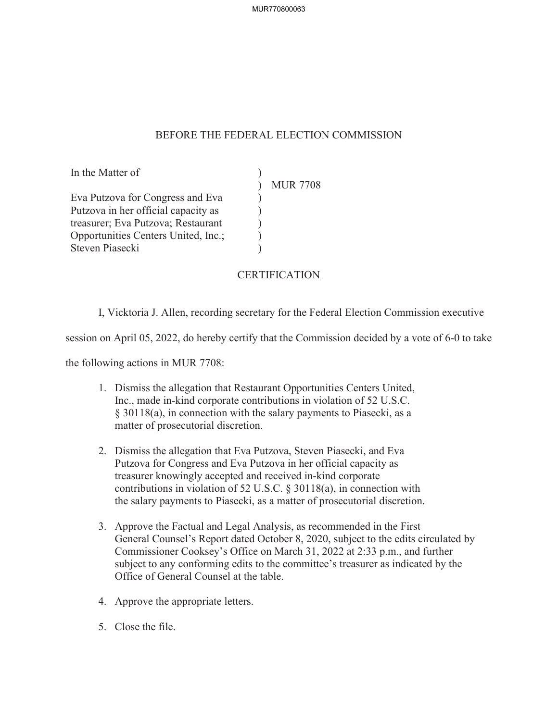## BEFORE THE FEDERAL ELECTION COMMISSION

 $\mathcal{L}$ )  $\overline{)}$  $\mathcal{L}$  $\mathcal{L}$  $\mathcal{L}$ 

In the Matter of

Eva Putzova for Congress and Eva Putzova in her official capacity as treasurer; Eva Putzova; Restaurant Opportunities Centers United, Inc.; Steven Piasecki

MUR 7708

## **CERTIFICATION**

I, Vicktoria J. Allen, recording secretary for the Federal Election Commission executive

session on April 05, 2022, do hereby certify that the Commission decided by a vote of 6-0 to take

the following actions in MUR 7708:

- 1. Dismiss the allegation that Restaurant Opportunities Centers United, Inc., made in-kind corporate contributions in violation of 52 U.S.C. § 30118(a), in connection with the salary payments to Piasecki, as a matter of prosecutorial discretion.
- 2. Dismiss the allegation that Eva Putzova, Steven Piasecki, and Eva Putzova for Congress and Eva Putzova in her official capacity as treasurer knowingly accepted and received in-kind corporate contributions in violation of 52 U.S.C. § 30118(a), in connection with the salary payments to Piasecki, as a matter of prosecutorial discretion.
- 3. Approve the Factual and Legal Analysis, as recommended in the First General Counsel's Report dated October 8, 2020, subject to the edits circulated by Commissioner Cooksey's Office on March 31, 2022 at 2:33 p.m., and further subject to any conforming edits to the committee's treasurer as indicated by the Office of General Counsel at the table.
- 4. Approve the appropriate letters.
- 5. Close the file.